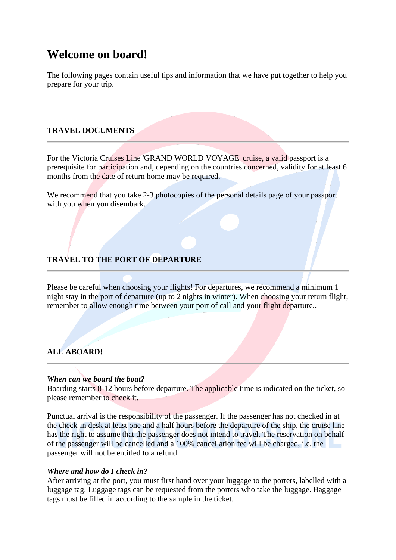# **Welcome on board!**

The following pages contain useful tips and information that we have put together to help you prepare for your trip.

# **TRAVEL DOCUMENTS**

For the Victoria Cruises Line 'GRAND WORLD VOYAGE' cruise, a valid passport is a prerequisite for participation and, depending on the countries concerned, validity for at least 6 months from the date of return home may be required.

We recommend that you take 2-3 photocopies of the personal details page of your passport with you when you disembark.

# **TRAVEL TO THE PORT OF DEPARTURE**

Please be careful when choosing your flights! For departures, we recommend a minimum 1 night stay in the port of departure (up to 2 nights in winter). When choosing your return flight, remember to allow enough time between your port of call and your flight departure..

# **ALL ABOARD!**

#### *When can we board the boat?*

Boarding starts 8-12 hours before departure. The applicable time is indicated on the ticket, so please remember to check it.

Punctual arrival is the responsibility of the passenger. If the passenger has not checked in at the check-in desk at least one and a half hours before the departure of the ship, the cruise line has the right to assume that the passenger does not intend to travel. The reservation on behalf of the passenger will be cancelled and a 100% cancellation fee will be charged, i.e. the passenger will not be entitled to a refund.

#### *Where and how do I check in?*

After arriving at the port, you must first hand over your luggage to the porters, labelled with a luggage tag. Luggage tags can be requested from the porters who take the luggage. Baggage tags must be filled in according to the sample in the ticket.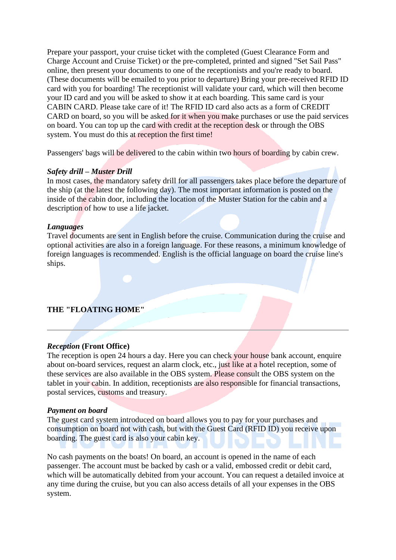Prepare your passport, your cruise ticket with the completed (Guest Clearance Form and Charge Account and Cruise Ticket) or the pre-completed, printed and signed "Set Sail Pass" online, then present your documents to one of the receptionists and you're ready to board. (These documents will be emailed to you prior to departure) Bring your pre-received RFID ID card with you for boarding! The receptionist will validate your card, which will then become your ID card and you will be asked to show it at each boarding. This same card is your CABIN CARD. Please take care of it! The RFID ID card also acts as a form of CREDIT CARD on board, so you will be asked for it when you make purchases or use the paid services on board. You can top up the card with credit at the reception desk or through the OBS system. You must do this at reception the first time!

Passengers' bags will be delivered to the cabin within two hours of boarding by cabin crew.

#### *Safety drill – Muster Drill*

In most cases, the mandatory safety drill for all passengers takes place before the departure of the ship (at the latest the following day). The most important information is posted on the inside of the cabin door, including the location of the Muster Station for the cabin and a description of how to use a life jacket.

#### *Languages*

Travel documents are sent in English before the cruise. Communication during the cruise and optional activities are also in a foreign language. For these reasons, a minimum knowledge of foreign languages is recommended. English is the official language on board the cruise line's ships.

#### **THE "FLOATING HOME"**

#### *Reception* **(Front Office)**

The reception is open 24 hours a day. Here you can check your house bank account, enquire about on-board services, request an alarm clock, etc., just like at a hotel reception, some of these services are also available in the OBS system. Please consult the OBS system on the tablet in your cabin. In addition, receptionists are also responsible for financial transactions, postal services, customs and treasury.

#### *Payment on board*

The guest card system introduced on board allows you to pay for your purchases and consumption on board not with cash, but with the Guest Card (RFID ID) you receive upon boarding. The guest card is also your cabin key.

No cash payments on the boats! On board, an account is opened in the name of each passenger. The account must be backed by cash or a valid, embossed credit or debit card, which will be automatically debited from your account. You can request a detailed invoice at any time during the cruise, but you can also access details of all your expenses in the OBS system.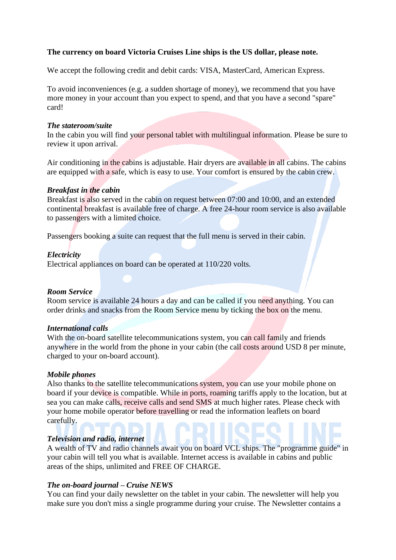# **The currency on board Victoria Cruises Line ships is the US dollar, please note.**

We accept the following credit and debit cards: VISA, MasterCard, American Express.

To avoid inconveniences (e.g. a sudden shortage of money), we recommend that you have more money in your account than you expect to spend, and that you have a second "spare" card!

#### *The stateroom/suite*

In the cabin you will find your personal tablet with multilingual information. Please be sure to review it upon arrival.

Air conditioning in the cabins is adjustable. Hair dryers are available in all cabins. The cabins are equipped with a safe, which is easy to use. Your comfort is ensured by the cabin crew.

#### *Breakfast in the cabin*

Breakfast is also served in the cabin on request between 07:00 and 10:00, and an extended continental breakfast is available free of charge. A free 24-hour room service is also available to passengers with a limited choice.

Passengers booking a suite can request that the full menu is served in their cabin.

#### *Electricity*

Electrical appliances on board can be operated at 110/220 volts.

#### *Room Service*

Room service is available 24 hours a day and can be called if you need anything. You can order drinks and snacks from the Room Service menu by ticking the box on the menu.

#### *International calls*

With the on-board satellite telecommunications system, you can call family and friends anywhere in the world from the phone in your cabin (the call costs around USD 8 per minute, charged to your on-board account).

#### *Mobile phones*

Also thanks to the satellite telecommunications system, you can use your mobile phone on board if your device is compatible. While in ports, roaming tariffs apply to the location, but at sea you can make calls, receive calls and send SMS at much higher rates. Please check with your home mobile operator before travelling or read the information leaflets on board carefully.

#### *Television and radio, internet*

A wealth of TV and radio channels await you on board VCL ships. The "programme guide" in your cabin will tell you what is available. Internet access is available in cabins and public areas of the ships, unlimited and FREE OF CHARGE.

#### *The on-board journal – Cruise NEWS*

You can find your daily newsletter on the tablet in your cabin. The newsletter will help you make sure you don't miss a single programme during your cruise. The Newsletter contains a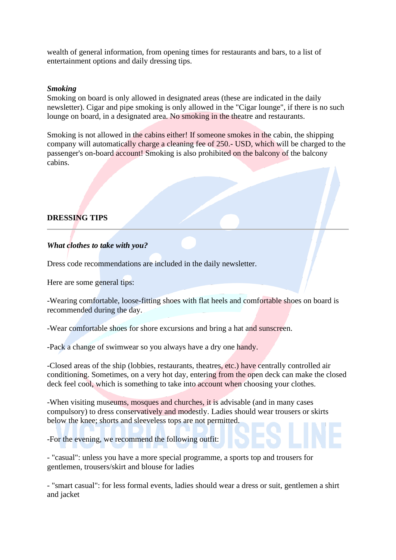wealth of general information, from opening times for restaurants and bars, to a list of entertainment options and daily dressing tips.

#### *Smoking*

Smoking on board is only allowed in designated areas (these are indicated in the daily newsletter). Cigar and pipe smoking is only allowed in the "Cigar lounge", if there is no such lounge on board, in a designated area. No smoking in the theatre and restaurants.

Smoking is not allowed in the cabins either! If someone smokes in the cabin, the shipping company will automatically charge a cleaning fee of 250.- USD, which will be charged to the passenger's on-board account! Smoking is also prohibited on the balcony of the balcony cabins.

# **DRESSING TIPS**

# *What clothes to take with you?*

Dress code recommendations are included in the daily newsletter.

Here are some general tips:

-Wearing comfortable, loose-fitting shoes with flat heels and comfortable shoes on board is recommended during the day.

-Wear comfortable shoes for shore excursions and bring a hat and sunscreen.

-Pack a change of swimwear so you always have a dry one handy.

-Closed areas of the ship (lobbies, restaurants, theatres, etc.) have centrally controlled air conditioning. Sometimes, on a very hot day, entering from the open deck can make the closed deck feel cool, which is something to take into account when choosing your clothes.

-When visiting museums, mosques and churches, it is advisable (and in many cases compulsory) to dress conservatively and modestly. Ladies should wear trousers or skirts below the knee; shorts and sleeveless tops are not permitted.

-For the evening, we recommend the following outfit:

- "casual": unless you have a more special programme, a sports top and trousers for gentlemen, trousers/skirt and blouse for ladies

- "smart casual": for less formal events, ladies should wear a dress or suit, gentlemen a shirt and jacket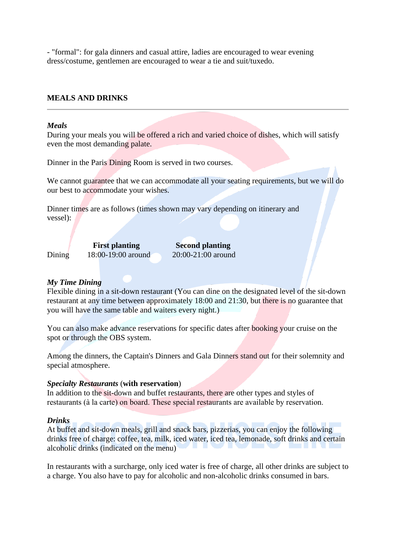- "formal": for gala dinners and casual attire, ladies are encouraged to wear evening dress/costume, gentlemen are encouraged to wear a tie and suit/tuxedo.

#### **MEALS AND DRINKS**

#### *Meals*

During your meals you will be offered a rich and varied choice of dishes, which will satisfy even the most demanding palate.

Dinner in the Paris Dining Room is served in two courses.

We cannot guarantee that we can accommodate all your seating requirements, but we will do our best to accommodate your wishes.

Dinner times are as follows (times shown may vary depending on itinerary and vessel):

|        | <b>First planting</b> | <b>Second planting</b> |
|--------|-----------------------|------------------------|
| Dining | 18:00-19:00 around    | $20:00-21:00$ around   |

#### *My Time Dining*

Flexible dining in a sit-down restaurant (You can dine on the designated level of the sit-down restaurant at any time between approximately 18:00 and 21:30, but there is no guarantee that you will have the same table and waiters every night.)

You can also make advance reservations for specific dates after booking your cruise on the spot or through the OBS system.

Among the dinners, the Captain's Dinners and Gala Dinners stand out for their solemnity and special atmosphere.

#### *Specialty Restaurants* (**with reservation**)

In addition to the sit-down and buffet restaurants, there are other types and styles of restaurants (à la carte) on board. These special restaurants are available by reservation.

#### *Drinks*

At buffet and sit-down meals, grill and snack bars, pizzerias, you can enjoy the following drinks free of charge: coffee, tea, milk, iced water, iced tea, lemonade, soft drinks and certain alcoholic drinks (indicated on the menu)

In restaurants with a surcharge, only iced water is free of charge, all other drinks are subject to a charge. You also have to pay for alcoholic and non-alcoholic drinks consumed in bars.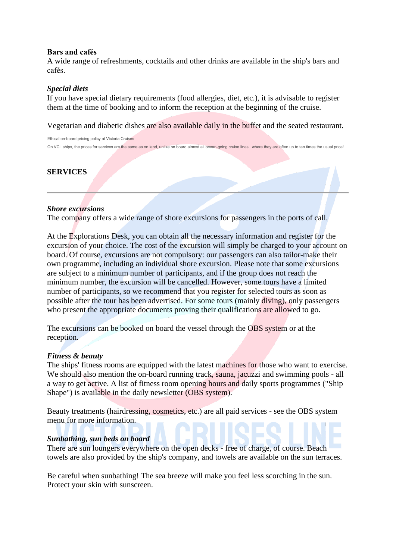# **Bars and cafés**

A wide range of refreshments, cocktails and other drinks are available in the ship's bars and cafés.

### *Special diets*

If you have special dietary requirements (food allergies, diet, etc.), it is advisable to register them at the time of booking and to inform the reception at the beginning of the cruise.

Vegetarian and diabetic dishes are also available daily in the buffet and the seated restaurant.

Ethical on-board pricing policy at Victoria Cruises On VCL ships, the prices for services are the same as on land, unlike on board almost all ocean-going cruise lines, where they are often up to ten times the usual price!

# **SERVICES**

#### *Shore excursions*

The company offers a wide range of shore excursions for passengers in the ports of call.

At the Explorations Desk, you can obtain all the necessary information and register for the excursion of your choice. The cost of the excursion will simply be charged to your account on board. Of course, excursions are not compulsory: our passengers can also tailor-make their own programme, including an individual shore excursion. Please note that some excursions are subject to a minimum number of participants, and if the group does not reach the minimum number, the excursion will be cancelled. However, some tours have a limited number of participants, so we recommend that you register for selected tours as soon as possible after the tour has been advertised. For some tours (mainly diving), only passengers who present the appropriate documents proving their qualifications are allowed to go.

The excursions can be booked on board the vessel through the OBS system or at the reception.

#### *Fitness & beauty*

The ships' fitness rooms are equipped with the latest machines for those who want to exercise. We should also mention the on-board running track, sauna, jacuzzi and swimming pools - all a way to get active. A list of fitness room opening hours and daily sports programmes ("Ship Shape") is available in the daily newsletter (OBS system).

Beauty treatments (hairdressing, cosmetics, etc.) are all paid services - see the OBS system menu for more information.

#### *Sunbathing, sun beds on board*

There are sun loungers everywhere on the open decks - free of charge, of course. Beach towels are also provided by the ship's company, and towels are available on the sun terraces.

Be careful when sunbathing! The sea breeze will make you feel less scorching in the sun. Protect your skin with sunscreen.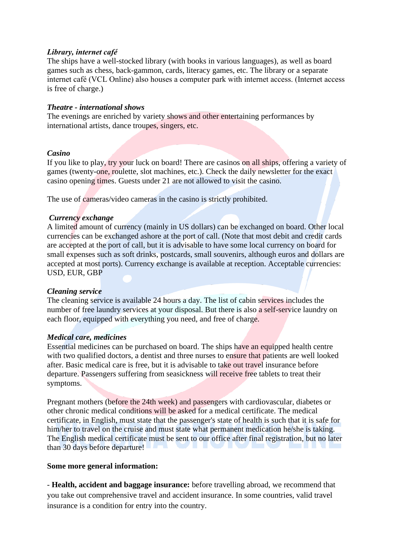# *Library, internet café*

The ships have a well-stocked library (with books in various languages), as well as board games such as chess, back-gammon, cards, literacy games, etc. The library or a separate internet café (VCL Online) also houses a computer park with internet access. (Internet access is free of charge.)

### *Theatre - international shows*

The evenings are enriched by variety shows and other entertaining performances by international artists, dance troupes, singers, etc.

# *Casino*

If you like to play, try your luck on board! There are casinos on all ships, offering a variety of games (twenty-one, roulette, slot machines, etc.). Check the daily newsletter for the exact casino opening times. Guests under 21 are not allowed to visit the casino.

The use of cameras/video cameras in the casino is strictly prohibited.

# *Currency exchange*

A limited amount of currency (mainly in US dollars) can be exchanged on board. Other local currencies can be exchanged ashore at the port of call. (Note that most debit and credit cards are accepted at the port of call, but it is advisable to have some local currency on board for small expenses such as soft drinks, postcards, small souvenirs, although euros and dollars are accepted at most ports). Currency exchange is available at reception. Acceptable currencies: USD, EUR, GBP

# *Cleaning service*

The cleaning service is available 24 hours a day. The list of cabin services includes the number of free laundry services at your disposal. But there is also a self-service laundry on each floor, equipped with everything you need, and free of charge.

#### *Medical care, medicines*

Essential medicines can be purchased on board. The ships have an equipped health centre with two qualified doctors, a dentist and three nurses to ensure that patients are well looked after. Basic medical care is free, but it is advisable to take out travel insurance before departure. Passengers suffering from seasickness will receive free tablets to treat their symptoms.

Pregnant mothers (before the 24th week) and passengers with cardiovascular, diabetes or other chronic medical conditions will be asked for a medical certificate. The medical certificate, in English, must state that the passenger's state of health is such that it is safe for him/her to travel on the cruise and must state what permanent medication he/she is taking. The English medical certificate must be sent to our office after final registration, but no later than 30 days before departure!

# **Some more general information:**

- **Health, accident and baggage insurance:** before travelling abroad, we recommend that you take out comprehensive travel and accident insurance. In some countries, valid travel insurance is a condition for entry into the country.